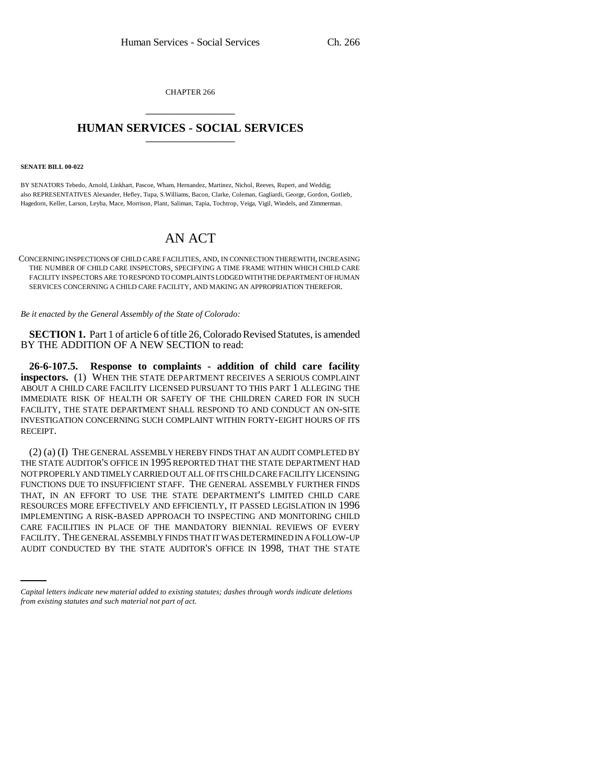CHAPTER 266 \_\_\_\_\_\_\_\_\_\_\_\_\_\_\_

## **HUMAN SERVICES - SOCIAL SERVICES** \_\_\_\_\_\_\_\_\_\_\_\_\_\_\_

#### **SENATE BILL 00-022**

BY SENATORS Tebedo, Arnold, Linkhart, Pascoe, Wham, Hernandez, Martinez, Nichol, Reeves, Rupert, and Weddig; also REPRESENTATIVES Alexander, Hefley, Tupa, S.Williams, Bacon, Clarke, Coleman, Gagliardi, George, Gordon, Gotlieb, Hagedorn, Keller, Larson, Leyba, Mace, Morrison, Plant, Saliman, Tapia, Tochtrop, Veiga, Vigil, Windels, and Zimmerman.

# AN ACT

CONCERNING INSPECTIONS OF CHILD CARE FACILITIES, AND, IN CONNECTION THEREWITH, INCREASING THE NUMBER OF CHILD CARE INSPECTORS, SPECIFYING A TIME FRAME WITHIN WHICH CHILD CARE FACILITY INSPECTORS ARE TO RESPOND TO COMPLAINTS LODGED WITH THE DEPARTMENT OF HUMAN SERVICES CONCERNING A CHILD CARE FACILITY, AND MAKING AN APPROPRIATION THEREFOR.

*Be it enacted by the General Assembly of the State of Colorado:*

**SECTION 1.** Part 1 of article 6 of title 26, Colorado Revised Statutes, is amended BY THE ADDITION OF A NEW SECTION to read:

**26-6-107.5. Response to complaints - addition of child care facility inspectors.** (1) WHEN THE STATE DEPARTMENT RECEIVES A SERIOUS COMPLAINT ABOUT A CHILD CARE FACILITY LICENSED PURSUANT TO THIS PART 1 ALLEGING THE IMMEDIATE RISK OF HEALTH OR SAFETY OF THE CHILDREN CARED FOR IN SUCH FACILITY, THE STATE DEPARTMENT SHALL RESPOND TO AND CONDUCT AN ON-SITE INVESTIGATION CONCERNING SUCH COMPLAINT WITHIN FORTY-EIGHT HOURS OF ITS RECEIPT.

CARE FACILITIES IN PLACE OF THE MANDATORY BIENNIAL REVIEWS OF EVERY (2) (a) (I) THE GENERAL ASSEMBLY HEREBY FINDS THAT AN AUDIT COMPLETED BY THE STATE AUDITOR'S OFFICE IN 1995 REPORTED THAT THE STATE DEPARTMENT HAD NOT PROPERLY AND TIMELY CARRIED OUT ALL OF ITS CHILD CARE FACILITY LICENSING FUNCTIONS DUE TO INSUFFICIENT STAFF. THE GENERAL ASSEMBLY FURTHER FINDS THAT, IN AN EFFORT TO USE THE STATE DEPARTMENT'S LIMITED CHILD CARE RESOURCES MORE EFFECTIVELY AND EFFICIENTLY, IT PASSED LEGISLATION IN 1996 IMPLEMENTING A RISK-BASED APPROACH TO INSPECTING AND MONITORING CHILD FACILITY. THE GENERAL ASSEMBLY FINDS THAT IT WAS DETERMINED IN A FOLLOW-UP AUDIT CONDUCTED BY THE STATE AUDITOR'S OFFICE IN 1998, THAT THE STATE

*Capital letters indicate new material added to existing statutes; dashes through words indicate deletions from existing statutes and such material not part of act.*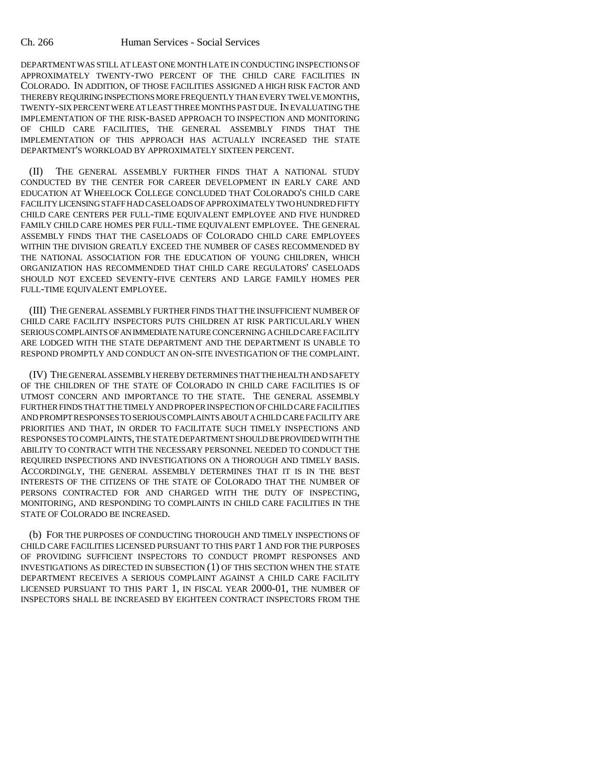### Ch. 266 Human Services - Social Services

DEPARTMENT WAS STILL AT LEAST ONE MONTH LATE IN CONDUCTING INSPECTIONS OF APPROXIMATELY TWENTY-TWO PERCENT OF THE CHILD CARE FACILITIES IN COLORADO. IN ADDITION, OF THOSE FACILITIES ASSIGNED A HIGH RISK FACTOR AND THEREBY REQUIRING INSPECTIONS MORE FREQUENTLY THAN EVERY TWELVE MONTHS, TWENTY-SIX PERCENT WERE AT LEAST THREE MONTHS PAST DUE. IN EVALUATING THE IMPLEMENTATION OF THE RISK-BASED APPROACH TO INSPECTION AND MONITORING OF CHILD CARE FACILITIES, THE GENERAL ASSEMBLY FINDS THAT THE IMPLEMENTATION OF THIS APPROACH HAS ACTUALLY INCREASED THE STATE DEPARTMENT'S WORKLOAD BY APPROXIMATELY SIXTEEN PERCENT.

(II) THE GENERAL ASSEMBLY FURTHER FINDS THAT A NATIONAL STUDY CONDUCTED BY THE CENTER FOR CAREER DEVELOPMENT IN EARLY CARE AND EDUCATION AT WHEELOCK COLLEGE CONCLUDED THAT COLORADO'S CHILD CARE FACILITY LICENSING STAFF HAD CASELOADS OF APPROXIMATELY TWO HUNDRED FIFTY CHILD CARE CENTERS PER FULL-TIME EQUIVALENT EMPLOYEE AND FIVE HUNDRED FAMILY CHILD CARE HOMES PER FULL-TIME EQUIVALENT EMPLOYEE. THE GENERAL ASSEMBLY FINDS THAT THE CASELOADS OF COLORADO CHILD CARE EMPLOYEES WITHIN THE DIVISION GREATLY EXCEED THE NUMBER OF CASES RECOMMENDED BY THE NATIONAL ASSOCIATION FOR THE EDUCATION OF YOUNG CHILDREN, WHICH ORGANIZATION HAS RECOMMENDED THAT CHILD CARE REGULATORS' CASELOADS SHOULD NOT EXCEED SEVENTY-FIVE CENTERS AND LARGE FAMILY HOMES PER FULL-TIME EQUIVALENT EMPLOYEE.

(III) THE GENERAL ASSEMBLY FURTHER FINDS THAT THE INSUFFICIENT NUMBER OF CHILD CARE FACILITY INSPECTORS PUTS CHILDREN AT RISK PARTICULARLY WHEN SERIOUS COMPLAINTS OF AN IMMEDIATE NATURE CONCERNING A CHILD CARE FACILITY ARE LODGED WITH THE STATE DEPARTMENT AND THE DEPARTMENT IS UNABLE TO RESPOND PROMPTLY AND CONDUCT AN ON-SITE INVESTIGATION OF THE COMPLAINT.

(IV) THE GENERAL ASSEMBLY HEREBY DETERMINES THAT THE HEALTH AND SAFETY OF THE CHILDREN OF THE STATE OF COLORADO IN CHILD CARE FACILITIES IS OF UTMOST CONCERN AND IMPORTANCE TO THE STATE. THE GENERAL ASSEMBLY FURTHER FINDS THAT THE TIMELY AND PROPER INSPECTION OF CHILD CARE FACILITIES AND PROMPT RESPONSES TO SERIOUS COMPLAINTS ABOUT A CHILD CARE FACILITY ARE PRIORITIES AND THAT, IN ORDER TO FACILITATE SUCH TIMELY INSPECTIONS AND RESPONSES TO COMPLAINTS, THE STATE DEPARTMENT SHOULD BE PROVIDED WITH THE ABILITY TO CONTRACT WITH THE NECESSARY PERSONNEL NEEDED TO CONDUCT THE REQUIRED INSPECTIONS AND INVESTIGATIONS ON A THOROUGH AND TIMELY BASIS. ACCORDINGLY, THE GENERAL ASSEMBLY DETERMINES THAT IT IS IN THE BEST INTERESTS OF THE CITIZENS OF THE STATE OF COLORADO THAT THE NUMBER OF PERSONS CONTRACTED FOR AND CHARGED WITH THE DUTY OF INSPECTING, MONITORING, AND RESPONDING TO COMPLAINTS IN CHILD CARE FACILITIES IN THE STATE OF COLORADO BE INCREASED.

(b) FOR THE PURPOSES OF CONDUCTING THOROUGH AND TIMELY INSPECTIONS OF CHILD CARE FACILITIES LICENSED PURSUANT TO THIS PART 1 AND FOR THE PURPOSES OF PROVIDING SUFFICIENT INSPECTORS TO CONDUCT PROMPT RESPONSES AND INVESTIGATIONS AS DIRECTED IN SUBSECTION (1) OF THIS SECTION WHEN THE STATE DEPARTMENT RECEIVES A SERIOUS COMPLAINT AGAINST A CHILD CARE FACILITY LICENSED PURSUANT TO THIS PART 1, IN FISCAL YEAR 2000-01, THE NUMBER OF INSPECTORS SHALL BE INCREASED BY EIGHTEEN CONTRACT INSPECTORS FROM THE